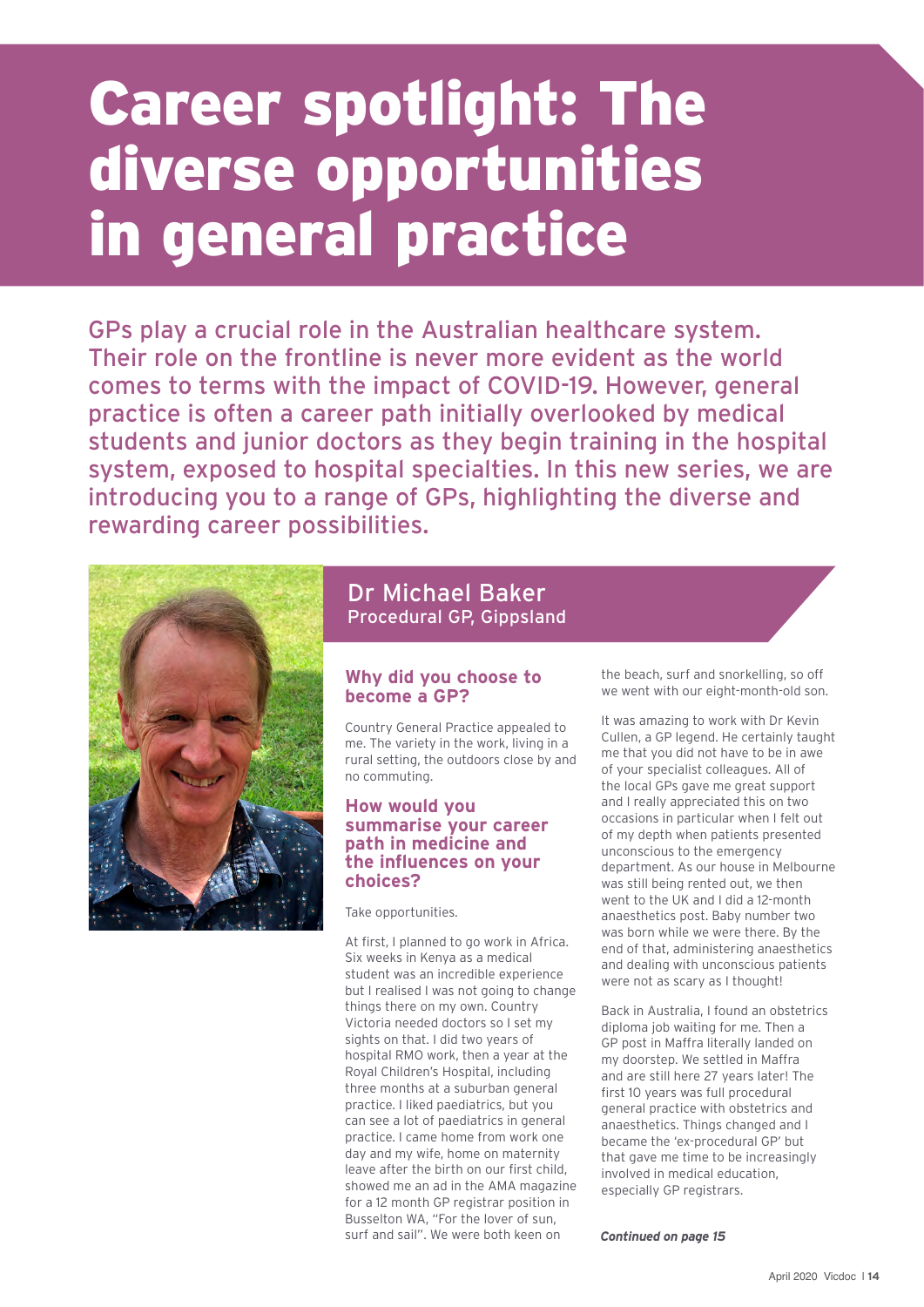# Career spotlight: The diverse opportunities in general practice

GPs play a crucial role in the Australian healthcare system. Their role on the frontline is never more evident as the world comes to terms with the impact of COVID-19. However, general practice is often a career path initially overlooked by medical students and junior doctors as they begin training in the hospital system, exposed to hospital specialties. In this new series, we are introducing you to a range of GPs, highlighting the diverse and rewarding career possibilities.



## Dr Michael Baker Procedural GP, Gippsland

### **Why did you choose to become a GP?**

Country General Practice appealed to me. The variety in the work, living in a rural setting, the outdoors close by and no commuting.

#### **How would you summarise your career path in medicine and the influences on your choices?**

Take opportunities.

At first, I planned to go work in Africa. Six weeks in Kenya as a medical student was an incredible experience but I realised I was not going to change things there on my own. Country Victoria needed doctors so I set my sights on that. I did two years of hospital RMO work, then a year at the Royal Children's Hospital, including three months at a suburban general practice. I liked paediatrics, but you can see a lot of paediatrics in general practice. I came home from work one day and my wife, home on maternity leave after the birth on our first child, showed me an ad in the AMA magazine for a 12 month GP registrar position in Busselton WA, "For the lover of sun, surf and sail". We were both keen on

the beach, surf and snorkelling, so off we went with our eight-month-old son.

It was amazing to work with Dr Kevin Cullen, a GP legend. He certainly taught me that you did not have to be in awe of your specialist colleagues. All of the local GPs gave me great support and I really appreciated this on two occasions in particular when I felt out of my depth when patients presented unconscious to the emergency department. As our house in Melbourne was still being rented out, we then went to the UK and I did a 12-month anaesthetics post. Baby number two was born while we were there. By the end of that, administering anaesthetics and dealing with unconscious patients were not as scary as I thought!

Back in Australia, I found an obstetrics diploma job waiting for me. Then a GP post in Maffra literally landed on my doorstep. We settled in Maffra and are still here 27 years later! The first 10 years was full procedural general practice with obstetrics and anaesthetics. Things changed and I became the 'ex-procedural GP' but that gave me time to be increasingly involved in medical education, especially GP registrars.

*Continued on page 15*